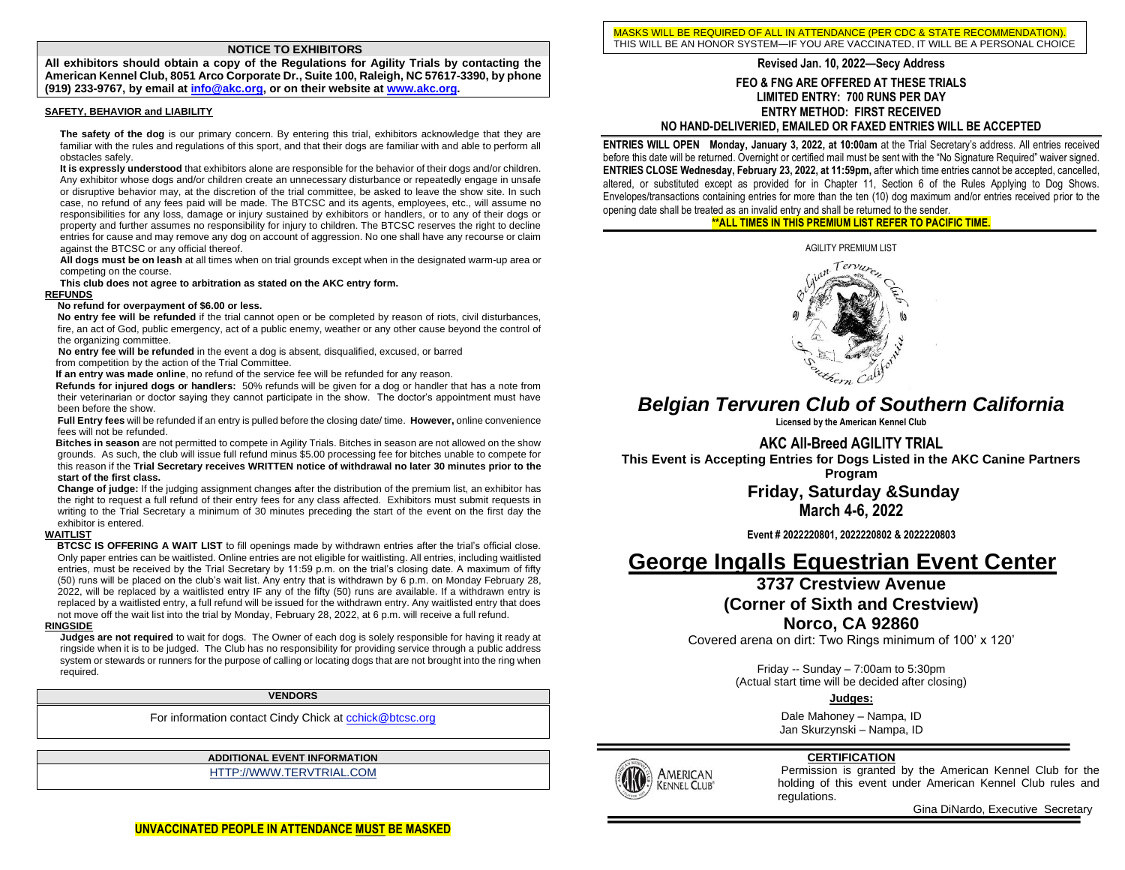#### **NOTICE TO EXHIBITORS**

**All exhibitors should obtain a copy of the Regulations for Agility Trials by contacting the American Kennel Club, 8051 Arco Corporate Dr., Suite 100, Raleigh, NC 57617-3390, by phone (919) 233-9767, by email a[t info@akc.org,](mailto:info@akc.org) or on their website a[t www.akc.org.](http://www.akc.org/)**

#### **SAFETY, BEHAVIOR and LIABILITY**

**The safety of the dog** is our primary concern. By entering this trial, exhibitors acknowledge that they are familiar with the rules and regulations of this sport, and that their dogs are familiar with and able to perform all obstacles safely.

**It is expressly understood** that exhibitors alone are responsible for the behavior of their dogs and/or children. Any exhibitor whose dogs and/or children create an unnecessary disturbance or repeatedly engage in unsafe or disruptive behavior may, at the discretion of the trial committee, be asked to leave the show site. In such case, no refund of any fees paid will be made. The BTCSC and its agents, employees, etc., will assume no responsibilities for any loss, damage or injury sustained by exhibitors or handlers, or to any of their dogs or property and further assumes no responsibility for injury to children. The BTCSC reserves the right to decline entries for cause and may remove any dog on account of aggression. No one shall have any recourse or claim against the BTCSC or any official thereof.

**All dogs must be on leash** at all times when on trial grounds except when in the designated warm-up area or competing on the course.

**This club does not agree to arbitration as stated on the AKC entry form.**

#### **REFUNDS**

#### **No refund for overpayment of \$6.00 or less.**

**No entry fee will be refunded** if the trial cannot open or be completed by reason of riots, civil disturbances, fire, an act of God, public emergency, act of a public enemy, weather or any other cause beyond the control of the organizing committee.

 **No entry fee will be refunded** in the event a dog is absent, disqualified, excused, or barred from competition by the action of the Trial Committee.

**If an entry was made online**, no refund of the service fee will be refunded for any reason.

 **Refunds for injured dogs or handlers:** 50% refunds will be given for a dog or handler that has a note from their veterinarian or doctor saying they cannot participate in the show. The doctor's appointment must have been before the show.

**Full Entry fees** will be refunded if an entry is pulled before the closing date/ time. **However,** online convenience fees will not be refunded.

 **Bitches in season** are not permitted to compete in Agility Trials. Bitches in season are not allowed on the show grounds. As such, the club will issue full refund minus \$5.00 processing fee for bitches unable to compete for this reason if the **Trial Secretary receives WRITTEN notice of withdrawal no later 30 minutes prior to the start of the first class.**

**Change of judge:** If the judging assignment changes **a**fter the distribution of the premium list, an exhibitor has the right to request a full refund of their entry fees for any class affected. Exhibitors must submit requests in writing to the Trial Secretary a minimum of 30 minutes preceding the start of the event on the first day the exhibitor is entered.

#### **WAITLIST**

 **BTCSC IS OFFERING A WAIT LIST** to fill openings made by withdrawn entries after the trial's official close. Only paper entries can be waitlisted. Online entries are not eligible for waitlisting. All entries, including waitlisted entries, must be received by the Trial Secretary by 11:59 p.m. on the trial's closing date. A maximum of fifty (50) runs will be placed on the club's wait list. Any entry that is withdrawn by 6 p.m. on Monday February 28, 2022, will be replaced by a waitlisted entry IF any of the fifty (50) runs are available. If a withdrawn entry is replaced by a waitlisted entry, a full refund will be issued for the withdrawn entry. Any waitlisted entry that does not move off the wait list into the trial by Monday, February 28, 2022, at 6 p.m. will receive a full refund.

#### **RINGSIDE**

**Judges are not required** to wait for dogs. The Owner of each dog is solely responsible for having it ready at ringside when it is to be judged. The Club has no responsibility for providing service through a public address system or stewards or runners for the purpose of calling or locating dogs that are not brought into the ring when required.

**VENDORS**

For information contact Cindy Chick a[t cchick@btcsc.org](mailto:cchick@btcsc.org)

**ADDITIONAL EVENT INFORMATION**

HTTP://WWW.TERVTRIAL.COM

MASKS WILL BE REQUIRED OF ALL IN ATTENDANCE (PER CDC & STATE RECOMMENDATION). THIS WILL BE AN HONOR SYSTEM—IF YOU ARE VACCINATED, IT WILL BE A PERSONAL CHOICE

# **Revised Jan. 10, 2022–Secy Address**

**FEO & FNG ARE OFFERED AT THESE TRIALS LIMITED ENTRY: 700 RUNS PER DAY ENTRY METHOD: FIRST RECEIVED NO HAND-DELIVERIED, EMAILED OR FAXED ENTRIES WILL BE ACCEPTED**

**ENTRIES WILL OPEN Monday, January 3, 2022, at 10:00am at the Trial Secretary's address. All entries received** before this date will be returned. Overnight or certified mail must be sent with the "No Signature Required" waiver signed. **ENTRIES CLOSE Wednesday, February 23, 2022, at 11:59pm,** after which time entries cannot be accepted, cancelled, altered, or substituted except as provided for in Chapter 11, Section 6 of the Rules Applying to Dog Shows. Envelopes/transactions containing entries for more than the ten (10) dog maximum and/or entries received prior to the opening date shall be treated as an invalid entry and shall be returned to the sender.

### **\*\*ALL TIMES IN THIS PREMIUM LIST REFER TO PACIFIC TIME.**



# *Belgian Tervuren Club of Southern California*

**Licensed by the American Kennel Club**

**AKC All-Breed AGILITY TRIAL**

**This Event is Accepting Entries for Dogs Listed in the AKC Canine Partners** 

**Program**

**Friday, Saturday &Sunday March 4-6, 2022**

**Event # 2022220801, 2022220802 & 2022220803**

# **George Ingalls Equestrian Event Center**

# **3737 Crestview Avenue (Corner of Sixth and Crestview) Norco, CA 92860**

Covered arena on dirt: Two Rings minimum of 100' x 120'

Friday -- Sunday – 7:00am to 5:30pm (Actual start time will be decided after closing)

**Judges:**

Dale Mahoney – Nampa, ID Jan Skurzynski – Nampa, ID

## **CERTIFICATION**

AMERICAN **KENNEL CLUB** 

Permission is granted by the American Kennel Club for the holding of this event under American Kennel Club rules and regulations.

Gina DiNardo, Executive Secretary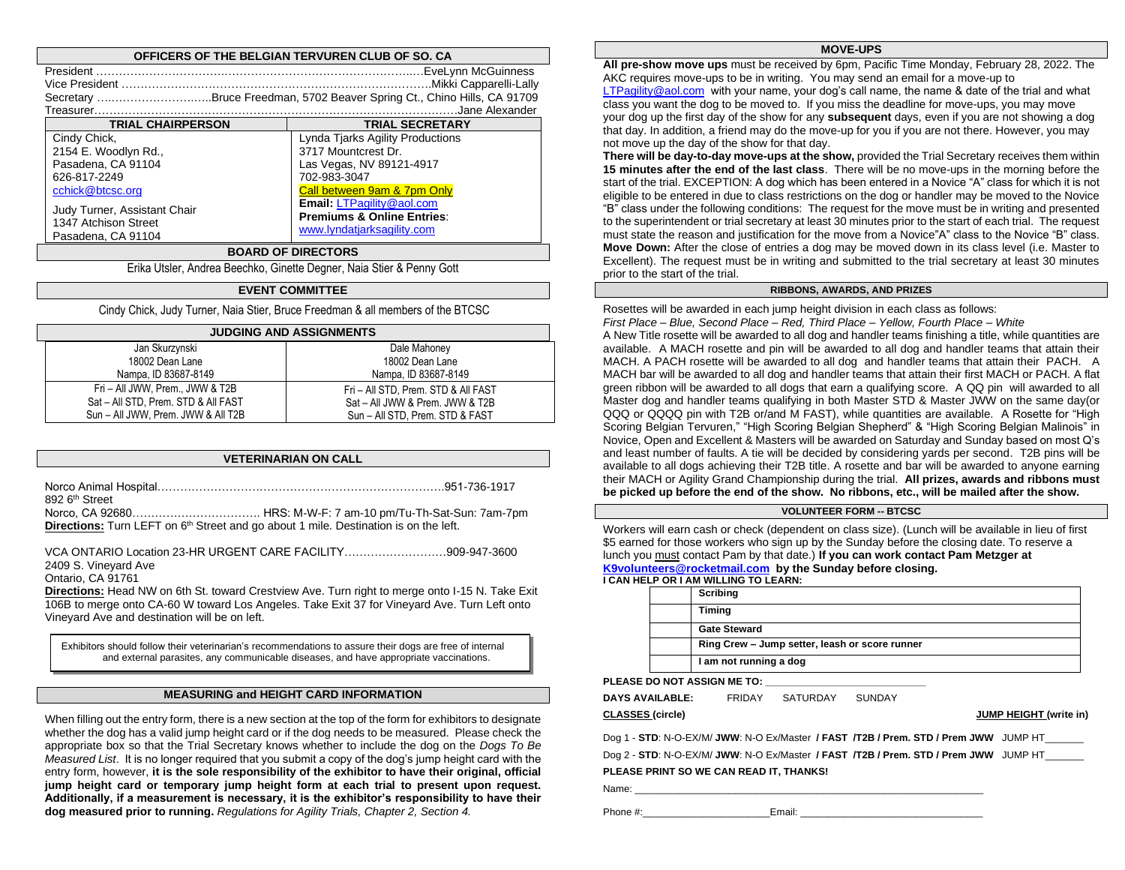#### **OFFICERS OF THE BELGIAN TERVUREN CLUB OF SO. CA**

|                                                                                                                                                                              | Secretary Bruce Freedman, 5702 Beaver Spring Ct., Chino Hills, CA 91709<br>Jane Alexander.                                                                                                                                             |
|------------------------------------------------------------------------------------------------------------------------------------------------------------------------------|----------------------------------------------------------------------------------------------------------------------------------------------------------------------------------------------------------------------------------------|
| <b>TRIAL CHAIRPERSON</b>                                                                                                                                                     | <b>TRIAL SECRETARY</b>                                                                                                                                                                                                                 |
| Cindy Chick,<br>2154 E. Woodlyn Rd.,<br>Pasadena, CA 91104<br>626-817-2249<br>cchick@btcsc.org<br>Judy Turner, Assistant Chair<br>1347 Atchison Street<br>Pasadena, CA 91104 | Lynda Tjarks Agility Productions<br>3717 Mountcrest Dr.<br>Las Vegas, NV 89121-4917<br>702-983-3047<br>Call between 9am & 7pm Only<br>Email: LTPagility@aol.com<br><b>Premiums &amp; Online Entries:</b><br>www.lyndatjarksagility.com |

#### **BOARD OF DIRECTORS**

Erika Utsler, Andrea Beechko, Ginette Degner, Naia Stier & Penny Gott

#### **EVENT COMMITTEE**

Cindy Chick, Judy Turner, Naia Stier, Bruce Freedman & all members of the BTCSC

| <b>JUDGING AND ASSIGNMENTS</b>      |                                     |  |  |  |  |  |  |  |
|-------------------------------------|-------------------------------------|--|--|--|--|--|--|--|
| Jan Skurzynski                      | Dale Mahoney                        |  |  |  |  |  |  |  |
| 18002 Dean Lane                     | 18002 Dean Lane                     |  |  |  |  |  |  |  |
| Nampa, ID 83687-8149                | Nampa, ID 83687-8149                |  |  |  |  |  |  |  |
| Fri - All JWW, Prem., JWW & T2B     | Fri - All STD, Prem. STD & All FAST |  |  |  |  |  |  |  |
| Sat - All STD, Prem. STD & All FAST | Sat - All JWW & Prem. JWW & T2B     |  |  |  |  |  |  |  |
| Sun - All JWW, Prem. JWW & All T2B  | Sun - All STD, Prem. STD & FAST     |  |  |  |  |  |  |  |

#### **VETERINARIAN ON CALL**

| 892 6 <sup>th</sup> Street |                                                                                                         |
|----------------------------|---------------------------------------------------------------------------------------------------------|
|                            |                                                                                                         |
|                            | <b>Directions:</b> Turn LEFT on 6 <sup>th</sup> Street and go about 1 mile. Destination is on the left. |

VCA ONTARIO Location 23-HR URGENT CARE FACILITY………………………909-947-3600 2409 S. Vineyard Ave

Ontario, CA 91761

**Directions:** Head NW on 6th St. toward Crestview Ave. Turn right to merge onto I-15 N. Take Exit 106B to merge onto CA-60 W toward Los Angeles. Take Exit 37 for Vineyard Ave. Turn Left onto Vineyard Ave and destination will be on left.

Exhibitors should follow their veterinarian's recommendations to assure their dogs are free of internal and external parasites, any communicable diseases, and have appropriate vaccinations.

#### **MEASURING and HEIGHT CARD INFORMATION**

When filling out the entry form, there is a new section at the top of the form for exhibitors to designate whether the dog has a valid jump height card or if the dog needs to be measured. Please check the appropriate box so that the Trial Secretary knows whether to include the dog on the *Dogs To Be Measured List*. It is no longer required that you submit a copy of the dog's jump height card with the entry form, however, **it is the sole responsibility of the exhibitor to have their original, official jump height card or temporary jump height form at each trial to present upon request. Additionally, if a measurement is necessary, it is the exhibitor's responsibility to have their dog measured prior to running.** *Regulations for Agility Trials, Chapter 2, Section 4.*

#### **MOVE-UPS**

**All pre-show move ups** must be received by 6pm, Pacific Time Monday, February 28, 2022. The AKC requires move-ups to be in writing. You may send an email for a move-up to [LTPagility@aol.com](mailto:LTPagility@aol.com) with your name, your dog's call name, the name & date of the trial and what class you want the dog to be moved to. If you miss the deadline for move-ups, you may move your dog up the first day of the show for any **subsequent** days, even if you are not showing a dog that day. In addition, a friend may do the move-up for you if you are not there. However, you may not move up the day of the show for that day.

**There will be day-to-day move-ups at the show,** provided the Trial Secretary receives them within **15 minutes after the end of the last class**. There will be no move-ups in the morning before the start of the trial. EXCEPTION: A dog which has been entered in a Novice "A" class for which it is not eligible to be entered in due to class restrictions on the dog or handler may be moved to the Novice "B" class under the following conditions: The request for the move must be in writing and presented to the superintendent or trial secretary at least 30 minutes prior to the start of each trial. The request must state the reason and justification for the move from a Novice"A" class to the Novice "B" class. **Move Down:** After the close of entries a dog may be moved down in its class level (i.e. Master to Excellent). The request must be in writing and submitted to the trial secretary at least 30 minutes prior to the start of the trial.

#### **RIBBONS, AWARDS, AND PRIZES**

Rosettes will be awarded in each jump height division in each class as follows: *First Place – Blue, Second Place – Red, Third Place – Yellow, Fourth Place – White* A New Title rosette will be awarded to all dog and handler teams finishing a title, while quantities are available. A MACH rosette and pin will be awarded to all dog and handler teams that attain their MACH. A PACH rosette will be awarded to all dog and handler teams that attain their PACH. A MACH bar will be awarded to all dog and handler teams that attain their first MACH or PACH. A flat green ribbon will be awarded to all dogs that earn a qualifying score. A QQ pin will awarded to all Master dog and handler teams qualifying in both Master STD & Master JWW on the same day(or QQQ or QQQQ pin with T2B or/and M FAST), while quantities are available.A Rosette for "High Scoring Belgian Tervuren," "High Scoring Belgian Shepherd" & "High Scoring Belgian Malinois" in Novice, Open and Excellent & Masters will be awarded on Saturday and Sunday based on most Q's and least number of faults. A tie will be decided by considering yards per second. T2B pins will be available to all dogs achieving their T2B title. A rosette and bar will be awarded to anyone earning their MACH or Agility Grand Championship during the trial. **All prizes, awards and ribbons must be picked up before the end of the show. No ribbons, etc., will be mailed after the show.**

#### **VOLUNTEER FORM -- BTCSC**

Workers will earn cash or check (dependent on class size). (Lunch will be available in lieu of first \$5 earned for those workers who sign up by the Sunday before the closing date. To reserve a lunch you must contact Pam by that date.) **If you can work contact Pam Metzger at [K9volunteers@rocketmail.com](mailto:K9volunteers@rocketmail.com) by the Sunday before closing.**

|  | I CAN HELP OR I AM WILLING TO LEARN: |
|--|--------------------------------------|

| Scribing                                       |
|------------------------------------------------|
| Timing                                         |
| <b>Gate Steward</b>                            |
| Ring Crew - Jump setter, leash or score runner |
| I am not running a dog                         |

**PLEASE DO NOT ASSIGN ME TO:** 

**DAYS AVAILABLE:** FRIDAY SATURDAY SUNDAY

#### **CLASSES (circle) JUMP HEIGHT (write in)**

Dog 1 - **STD**: N-O-EX/M/ **JWW**: N-O Ex/Master **/ FAST /T2B / Prem. STD / Prem JWW** JUMP HT\_\_\_\_\_\_\_

Dog 2 - **STD**: N-O-EX/M/ **JWW**: N-O Ex/Master **/ FAST /T2B / Prem. STD / Prem JWW** JUMP HT\_\_\_\_\_\_\_

#### **PLEASE PRINT SO WE CAN READ IT, THANKS!**

Name: \_\_\_\_\_\_\_\_\_\_\_\_\_\_\_\_\_\_\_\_\_\_\_\_\_\_\_\_\_\_\_\_\_\_\_\_\_\_\_\_\_\_\_\_\_\_\_\_\_\_\_\_\_\_\_\_\_\_\_\_\_\_\_

Phone #:\_\_\_\_\_\_\_\_\_\_\_\_\_\_\_\_\_\_\_\_\_\_\_Email: \_\_\_\_\_\_\_\_\_\_\_\_\_\_\_\_\_\_\_\_\_\_\_\_\_\_\_\_\_\_\_\_\_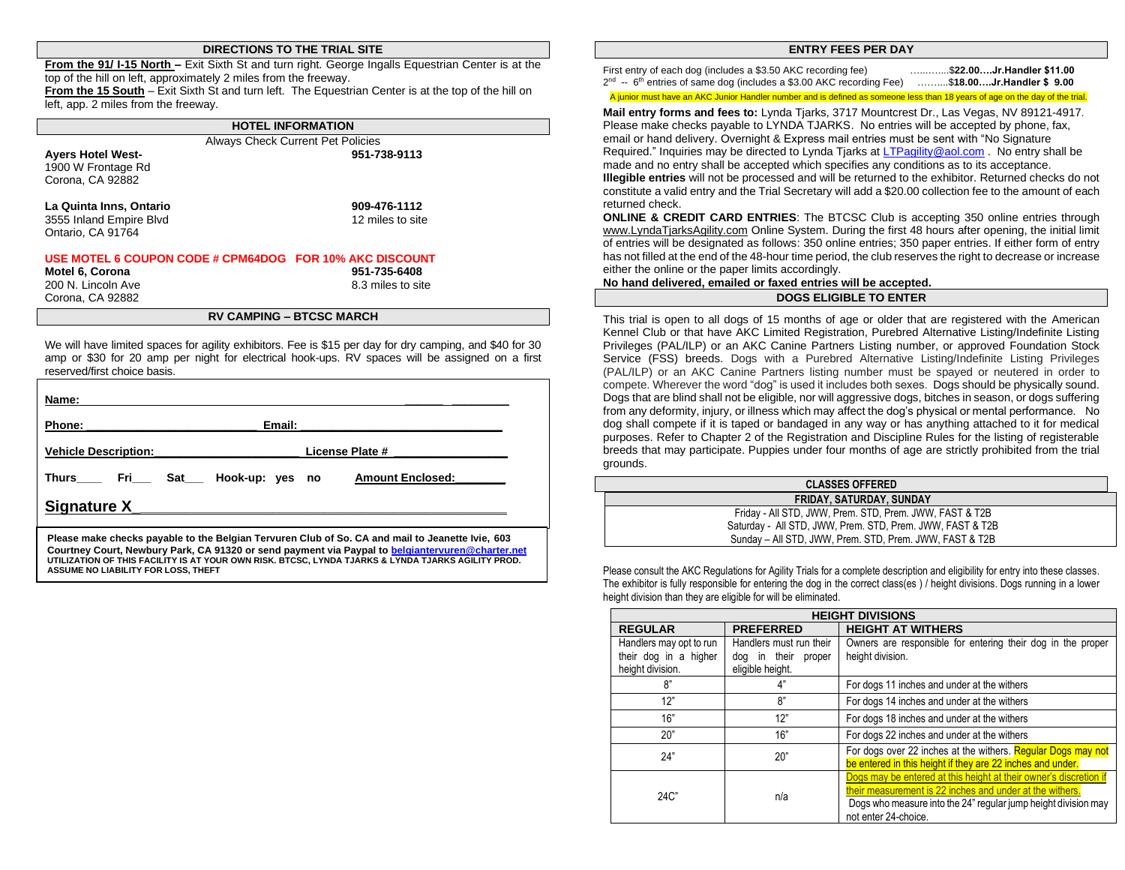#### **DIRECTIONS TO THE TRIAL SITE**

**From the 91/ I-15 North –** Exit Sixth St and turn right. George Ingalls Equestrian Center is at the top of the hill on left, approximately 2 miles from the freeway. **From the 15 South** – Exit Sixth St and turn left. The Equestrian Center is at the top of the hill on left, app. 2 miles from the freeway.

**HOTEL INFORMATION** Always Check Current Pet Policies **Ayers Hotel West- 951-738-9113** 1900 W Frontage Rd Corona, CA 92882 **La Quinta Inns, Ontario 909-476-1112** 3555 Inland Empire Blvd 12 miles to site Ontario, CA 91764 **USE MOTEL 6 COUPON CODE # CPM64DOG FOR 10% AKC DISCOUNT Motel 6, Corona 951-735-6408** 200 N. Lincoln Ave 200 N. Lincoln Ave 3.3 miles to site Corona, CA 92882

#### **RV CAMPING – BTCSC MARCH**

We will have limited spaces for agility exhibitors. Fee is \$15 per day for dry camping, and \$40 for 30 amp or \$30 for 20 amp per night for electrical hook-ups. RV spaces will be assigned on a first reserved/first choice basis.

| Name:                         |        |                         |
|-------------------------------|--------|-------------------------|
| <b>Phone:</b>                 | Email: |                         |
| <b>Vehicle Description:</b>   |        | License Plate #         |
| Thurs Fri Sat Hook-up: yes no |        | <b>Amount Enclosed:</b> |
| <b>Signature X</b>            |        |                         |

**Courtney Court, Newbury Park, CA 91320 or send payment via Paypal t[o belgiantervuren@charter.net](mailto:bengiantervuren@charter.net) UTILIZATION OF THIS FACILITY IS AT YOUR OWN RISK. BTCSC, LYNDA TJARKS & LYNDA TJARKS AGILITY PROD. ASSUME NO LIABILITY FOR LOSS, THEFT**

#### **ENTRY FEES PER DAY**

First entry of each dog (includes a \$3.50 AKC recording fee) …...…....\$**22.00….Jr.Handler \$11.00** 2 nd -- 6 th entries of same dog (includes a \$3.00 AKC recording Fee) ……....\$**18.00….Jr.Handler \$ 9.00**

A junior must have an AKC Junior Handler number and is defined as someone less than 18 years of age on the day of the trial.

**Mail entry forms and fees to:** Lynda Tjarks, 3717 Mountcrest Dr., Las Vegas, NV 89121-4917. Please make checks payable to LYNDA TJARKS. No entries will be accepted by phone, fax, email or hand delivery. Overnight & Express mail entries must be sent with "No Signature Required." Inquiries may be directed to Lynda Tjarks a[t LTPagility@aol.com](mailto:LTPagility@aol.com) . No entry shall be made and no entry shall be accepted which specifies any conditions as to its acceptance. **Illegible entries** will not be processed and will be returned to the exhibitor. Returned checks do not constitute a valid entry and the Trial Secretary will add a \$20.00 collection fee to the amount of each returned check.

**ONLINE & CREDIT CARD ENTRIES**: The BTCSC Club is accepting 350 online entries through [www.LyndaTjarksAgility.com](http://www.lyndatjarksagility.com/) Online System. During the first 48 hours after opening, the initial limit of entries will be designated as follows: 350 online entries; 350 paper entries. If either form of entry has not filled at the end of the 48-hour time period, the club reserves the right to decrease or increase either the online or the paper limits accordingly.

#### **No hand delivered, emailed or faxed entries will be accepted.**

#### **DOGS ELIGIBLE TO ENTER**

This trial is open to all dogs of 15 months of age or older that are registered with the American Kennel Club or that have AKC Limited Registration, Purebred Alternative Listing/Indefinite Listing Privileges (PAL/ILP) or an AKC Canine Partners Listing number, or approved Foundation Stock Service (FSS) breeds. Dogs with a Purebred Alternative Listing/Indefinite Listing Privileges (PAL/ILP) or an AKC Canine Partners listing number must be spayed or neutered in order to compete. Wherever the word "dog" is used it includes both sexes. Dogs should be physically sound. Dogs that are blind shall not be eligible, nor will aggressive dogs, bitches in season, or dogs suffering from any deformity, injury, or illness which may affect the dog's physical or mental performance. No dog shall compete if it is taped or bandaged in any way or has anything attached to it for medical purposes. Refer to Chapter 2 of the Registration and Discipline Rules for the listing of registerable breeds that may participate. Puppies under four months of age are strictly prohibited from the trial grounds.

| <b>CLASSES OFFERED</b>                                    |
|-----------------------------------------------------------|
| <b>FRIDAY, SATURDAY, SUNDAY</b>                           |
| Friday - All STD, JWW, Prem. STD, Prem. JWW, FAST & T2B   |
| Saturday - All STD, JWW, Prem. STD, Prem. JWW, FAST & T2B |
| Sunday – All STD, JWW, Prem. STD, Prem. JWW, FAST & T2B   |

Please consult the AKC Regulations for Agility Trials for a complete description and eligibility for entry into these classes. The exhibitor is fully responsible for entering the dog in the correct class(es ) / height divisions. Dogs running in a lower height division than they are eligible for will be eliminated.

| <b>HEIGHT DIVISIONS</b>                                              |                                                                       |                                                                                                                                                                                                                         |  |  |  |  |  |  |  |
|----------------------------------------------------------------------|-----------------------------------------------------------------------|-------------------------------------------------------------------------------------------------------------------------------------------------------------------------------------------------------------------------|--|--|--|--|--|--|--|
| <b>REGULAR</b>                                                       | <b>PREFERRED</b>                                                      | <b>HEIGHT AT WITHERS</b>                                                                                                                                                                                                |  |  |  |  |  |  |  |
| Handlers may opt to run<br>their dog in a higher<br>height division. | Handlers must run their<br>dog in their<br>proper<br>eligible height. | Owners are responsible for entering their dog in the proper<br>height division.                                                                                                                                         |  |  |  |  |  |  |  |
| 8"                                                                   | 4"                                                                    | For dogs 11 inches and under at the withers                                                                                                                                                                             |  |  |  |  |  |  |  |
| 12"                                                                  | 8"                                                                    | For dogs 14 inches and under at the withers                                                                                                                                                                             |  |  |  |  |  |  |  |
| 16"                                                                  | 12"                                                                   | For dogs 18 inches and under at the withers                                                                                                                                                                             |  |  |  |  |  |  |  |
| 20"                                                                  | 16"                                                                   | For dogs 22 inches and under at the withers                                                                                                                                                                             |  |  |  |  |  |  |  |
| 24"                                                                  | 20"                                                                   | For dogs over 22 inches at the withers. Regular Dogs may not<br>be entered in this height if they are 22 inches and under.                                                                                              |  |  |  |  |  |  |  |
| $24C$ "                                                              | n/a                                                                   | Dogs may be entered at this height at their owner's discretion if<br>their measurement is 22 inches and under at the withers.<br>Dogs who measure into the 24" regular jump height division may<br>not enter 24-choice. |  |  |  |  |  |  |  |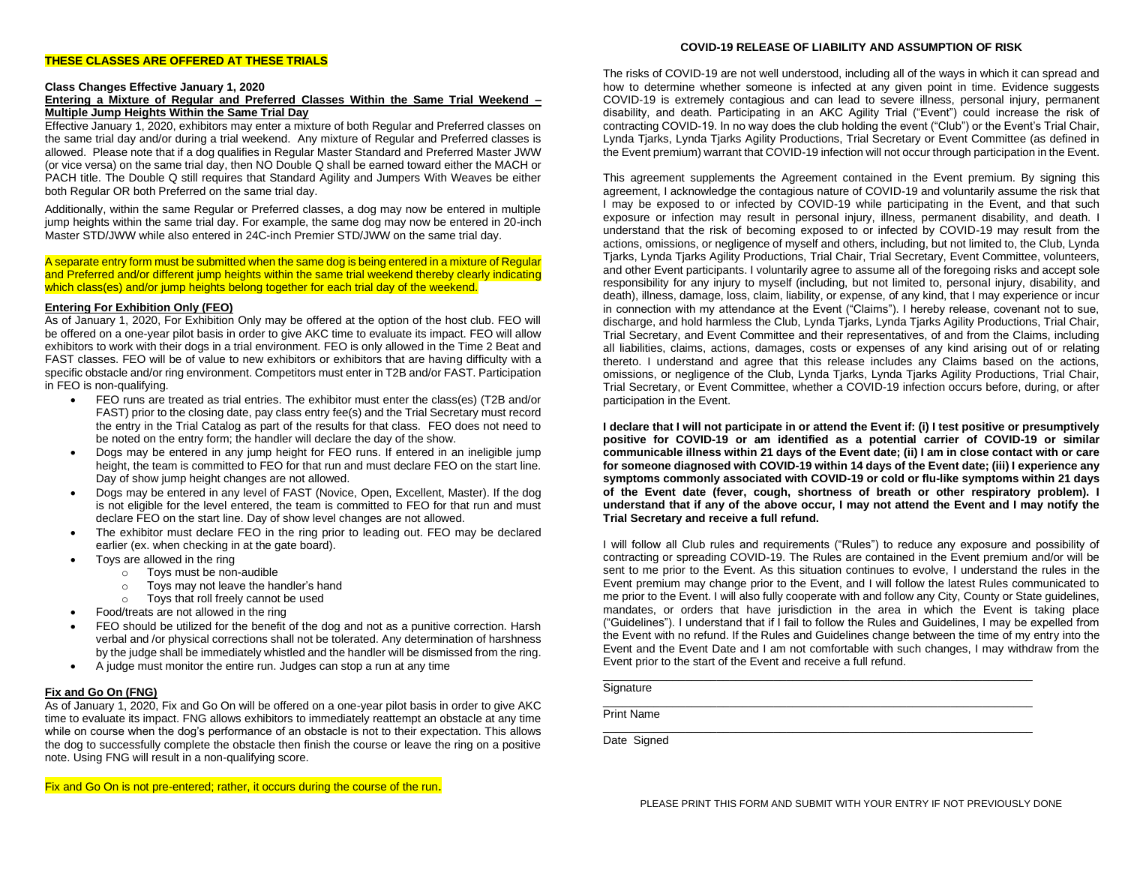#### **THESE CLASSES ARE OFFERED AT THESE TRIALS**

#### **COVID-19 RELEASE OF LIABILITY AND ASSUMPTION OF RISK**

#### **Class Changes Effective January 1, 2020**

#### **Entering a Mixture of Regular and Preferred Classes Within the Same Trial Weekend – Multiple Jump Heights Within the Same Trial Day**

Effective January 1, 2020, exhibitors may enter a mixture of both Regular and Preferred classes on the same trial day and/or during a trial weekend. Any mixture of Regular and Preferred classes is allowed. Please note that if a dog qualifies in Regular Master Standard and Preferred Master JWW (or vice versa) on the same trial day, then NO Double Q shall be earned toward either the MACH or PACH title. The Double Q still requires that Standard Agility and Jumpers With Weaves be either both Regular OR both Preferred on the same trial day.

Additionally, within the same Regular or Preferred classes, a dog may now be entered in multiple jump heights within the same trial day. For example, the same dog may now be entered in 20-inch Master STD/JWW while also entered in 24C-inch Premier STD/JWW on the same trial day.

A separate entry form must be submitted when the same dog is being entered in a mixture of Regular and Preferred and/or different jump heights within the same trial weekend thereby clearly indicating which class(es) and/or jump heights belong together for each trial day of the weekend.

#### **Entering For Exhibition Only (FEO)**

As of January 1, 2020, For Exhibition Only may be offered at the option of the host club. FEO will be offered on a one-year pilot basis in order to give AKC time to evaluate its impact. FEO will allow exhibitors to work with their dogs in a trial environment. FEO is only allowed in the Time 2 Beat and FAST classes. FEO will be of value to new exhibitors or exhibitors that are having difficulty with a specific obstacle and/or ring environment. Competitors must enter in T2B and/or FAST. Participation in FEO is non-qualifying.

- FEO runs are treated as trial entries. The exhibitor must enter the class(es) (T2B and/or FAST) prior to the closing date, pay class entry fee(s) and the Trial Secretary must record the entry in the Trial Catalog as part of the results for that class. FEO does not need to be noted on the entry form; the handler will declare the day of the show.
- Dogs may be entered in any jump height for FEO runs. If entered in an ineligible jump height, the team is committed to FEO for that run and must declare FEO on the start line. Day of show jump height changes are not allowed.
- Dogs may be entered in any level of FAST (Novice, Open, Excellent, Master). If the dog is not eligible for the level entered, the team is committed to FEO for that run and must declare FEO on the start line. Day of show level changes are not allowed.
- The exhibitor must declare FEO in the ring prior to leading out. FEO may be declared earlier (ex. when checking in at the gate board).
- Toys are allowed in the ring
	- o Toys must be non-audible
	- o Toys may not leave the handler's hand
	- o Toys that roll freely cannot be used
- Food/treats are not allowed in the ring
- FEO should be utilized for the benefit of the dog and not as a punitive correction. Harsh verbal and /or physical corrections shall not be tolerated. Any determination of harshness by the judge shall be immediately whistled and the handler will be dismissed from the ring.
- A judge must monitor the entire run. Judges can stop a run at any time

#### **Fix and Go On (FNG)**

As of January 1, 2020, Fix and Go On will be offered on a one-year pilot basis in order to give AKC time to evaluate its impact. FNG allows exhibitors to immediately reattempt an obstacle at any time while on course when the dog's performance of an obstacle is not to their expectation. This allows the dog to successfully complete the obstacle then finish the course or leave the ring on a positive note. Using FNG will result in a non-qualifying score.

Fix and Go On is not pre-entered; rather, it occurs during the course of the run.

The risks of COVID-19 are not well understood, including all of the ways in which it can spread and how to determine whether someone is infected at any given point in time. Evidence suggests COVID-19 is extremely contagious and can lead to severe illness, personal injury, permanent disability, and death. Participating in an AKC Agility Trial ("Event") could increase the risk of contracting COVID-19. In no way does the club holding the event ("Club") or the Event's Trial Chair, Lynda Tjarks, Lynda Tjarks Agility Productions, Trial Secretary or Event Committee (as defined in the Event premium) warrant that COVID-19 infection will not occur through participation in the Event.

This agreement supplements the Agreement contained in the Event premium. By signing this agreement, I acknowledge the contagious nature of COVID-19 and voluntarily assume the risk that I may be exposed to or infected by COVID-19 while participating in the Event, and that such exposure or infection may result in personal injury, illness, permanent disability, and death. I understand that the risk of becoming exposed to or infected by COVID-19 may result from the actions, omissions, or negligence of myself and others, including, but not limited to, the Club, Lynda Tjarks, Lynda Tjarks Agility Productions, Trial Chair, Trial Secretary, Event Committee, volunteers, and other Event participants. I voluntarily agree to assume all of the foregoing risks and accept sole responsibility for any injury to myself (including, but not limited to, personal injury, disability, and death), illness, damage, loss, claim, liability, or expense, of any kind, that I may experience or incur in connection with my attendance at the Event ("Claims"). I hereby release, covenant not to sue, discharge, and hold harmless the Club, Lynda Tjarks, Lynda Tjarks Agility Productions, Trial Chair, Trial Secretary, and Event Committee and their representatives, of and from the Claims, including all liabilities, claims, actions, damages, costs or expenses of any kind arising out of or relating thereto. I understand and agree that this release includes any Claims based on the actions, omissions, or negligence of the Club, Lynda Tjarks, Lynda Tjarks Agility Productions, Trial Chair, Trial Secretary, or Event Committee, whether a COVID-19 infection occurs before, during, or after participation in the Event.

**I declare that I will not participate in or attend the Event if: (i) I test positive or presumptively positive for COVID-19 or am identified as a potential carrier of COVID-19 or similar communicable illness within 21 days of the Event date; (ii) I am in close contact with or care for someone diagnosed with COVID-19 within 14 days of the Event date; (iii) I experience any symptoms commonly associated with COVID-19 or cold or flu-like symptoms within 21 days of the Event date (fever, cough, shortness of breath or other respiratory problem). I understand that if any of the above occur, I may not attend the Event and I may notify the Trial Secretary and receive a full refund.** 

I will follow all Club rules and requirements ("Rules") to reduce any exposure and possibility of contracting or spreading COVID-19. The Rules are contained in the Event premium and/or will be sent to me prior to the Event. As this situation continues to evolve, I understand the rules in the Event premium may change prior to the Event, and I will follow the latest Rules communicated to me prior to the Event. I will also fully cooperate with and follow any City, County or State guidelines, mandates, or orders that have jurisdiction in the area in which the Event is taking place ("Guidelines"). I understand that if I fail to follow the Rules and Guidelines, I may be expelled from the Event with no refund. If the Rules and Guidelines change between the time of my entry into the Event and the Event Date and I am not comfortable with such changes, I may withdraw from the Event prior to the start of the Event and receive a full refund.

 $\_$  , and the set of the set of the set of the set of the set of the set of the set of the set of the set of the set of the set of the set of the set of the set of the set of the set of the set of the set of the set of th

 $\_$  , and the set of the set of the set of the set of the set of the set of the set of the set of the set of the set of the set of the set of the set of the set of the set of the set of the set of the set of the set of th

 $\_$  , and the set of the set of the set of the set of the set of the set of the set of the set of the set of the set of the set of the set of the set of the set of the set of the set of the set of the set of the set of th

**Signature** 

Print Name

Date Signed